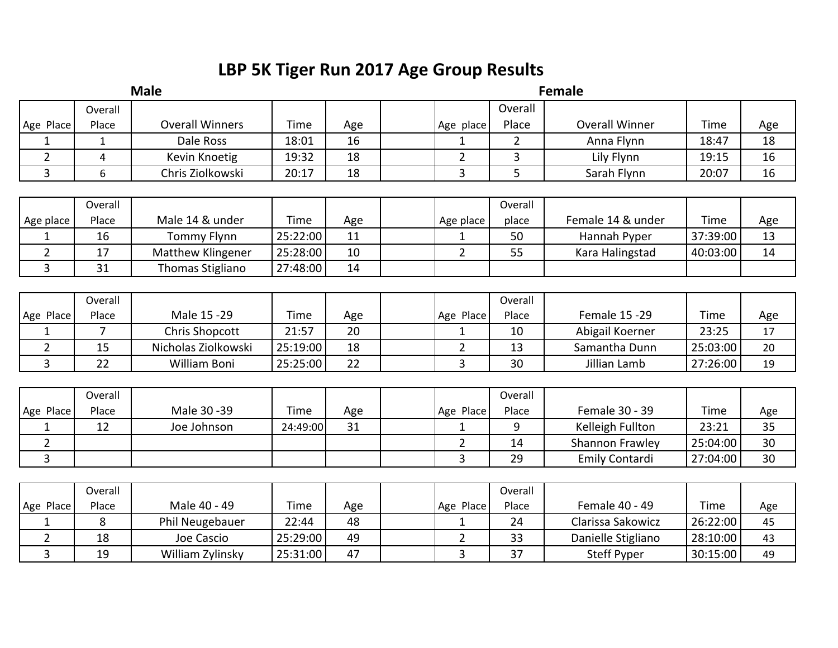## **LBP 5K Tiger Run 2017 Age Group Results**

| <b>Male</b>    |                         |                        |          |     | <b>Female</b>  |                |                       |          |     |  |  |  |
|----------------|-------------------------|------------------------|----------|-----|----------------|----------------|-----------------------|----------|-----|--|--|--|
|                | Overall                 |                        |          |     |                | Overall        |                       |          |     |  |  |  |
| Age Place      | Place                   | <b>Overall Winners</b> | Time     | Age | Age place      | Place          | <b>Overall Winner</b> | Time     | Age |  |  |  |
| $\mathbf{1}$   | $\mathbf{1}$            | Dale Ross              | 18:01    | 16  | $\mathbf 1$    | $\overline{2}$ | Anna Flynn            | 18:47    | 18  |  |  |  |
| $\overline{2}$ | $\overline{\mathbf{4}}$ | Kevin Knoetig          | 19:32    | 18  | $\overline{2}$ | 3              | Lily Flynn            | 19:15    | 16  |  |  |  |
| $\overline{3}$ | 6                       | Chris Ziolkowski       | 20:17    | 18  | 3              | 5              | Sarah Flynn           | 20:07    | 16  |  |  |  |
|                |                         |                        |          |     |                |                |                       |          |     |  |  |  |
|                | Overall                 |                        |          |     |                | Overall        |                       |          |     |  |  |  |
| Age place      | Place                   | Male 14 & under        | Time     | Age | Age place      | place          | Female 14 & under     | Time     | Age |  |  |  |
| 1              | 16                      | <b>Tommy Flynn</b>     | 25:22:00 | 11  | 1              | 50             | Hannah Pyper          | 37:39:00 | 13  |  |  |  |
| $\overline{2}$ | 17                      | Matthew Klingener      | 25:28:00 | 10  | $\overline{2}$ | 55             | Kara Halingstad       | 40:03:00 | 14  |  |  |  |
| 3              | 31                      | Thomas Stigliano       | 27:48:00 | 14  |                |                |                       |          |     |  |  |  |
|                |                         |                        |          |     |                |                |                       |          |     |  |  |  |
|                | Overall                 |                        |          |     |                | Overall        |                       |          |     |  |  |  |
| Age Place      | Place                   | Male 15-29             | Time     | Age | Age Place      | Place          | <b>Female 15 -29</b>  | Time     | Age |  |  |  |
| $\mathbf{1}$   | $\overline{7}$          | <b>Chris Shopcott</b>  | 21:57    | 20  | 1              | 10             | Abigail Koerner       | 23:25    | 17  |  |  |  |
| $\overline{2}$ | 15                      | Nicholas Ziolkowski    | 25:19:00 | 18  | $\overline{2}$ | 13             | Samantha Dunn         | 25:03:00 | 20  |  |  |  |
| $\overline{3}$ | 22                      | <b>William Boni</b>    | 25:25:00 | 22  | 3              | 30             | Jillian Lamb          | 27:26:00 | 19  |  |  |  |
|                |                         |                        |          |     |                |                |                       |          |     |  |  |  |
|                | Overall                 |                        |          |     |                | Overall        |                       |          |     |  |  |  |
| Age Place      | Place                   | Male 30 - 39           | Time     | Age | Age Place      | Place          | Female 30 - 39        | Time     | Age |  |  |  |
| $\mathbf{1}$   | 12                      | Joe Johnson            | 24:49:00 | 31  | 1              | 9              | Kelleigh Fullton      | 23:21    | 35  |  |  |  |
| $\overline{2}$ |                         |                        |          |     | $\overline{2}$ | 14             | Shannon Frawley       | 25:04:00 | 30  |  |  |  |
| $\overline{3}$ |                         |                        |          |     | $\overline{3}$ | 29             | <b>Emily Contardi</b> | 27:04:00 | 30  |  |  |  |
|                |                         |                        |          |     |                |                |                       |          |     |  |  |  |
|                | Overall                 |                        |          |     |                | Overall        |                       |          |     |  |  |  |
| Age Place      | Place                   | Male 40 - 49           | Time     | Age | Age Place      | Place          | Female 40 - 49        | Time     | Age |  |  |  |
| 1              | 8                       | Phil Neugebauer        | 22:44    | 48  | 1              | 24             | Clarissa Sakowicz     | 26:22:00 | 45  |  |  |  |
| $\overline{2}$ | 18                      | Joe Cascio             | 25:29:00 | 49  | $\overline{2}$ | 33             | Danielle Stigliano    | 28:10:00 | 43  |  |  |  |
| 3              | 19                      | William Zylinsky       | 25:31:00 | 47  | 3              | 37             | <b>Steff Pyper</b>    | 30:15:00 | 49  |  |  |  |